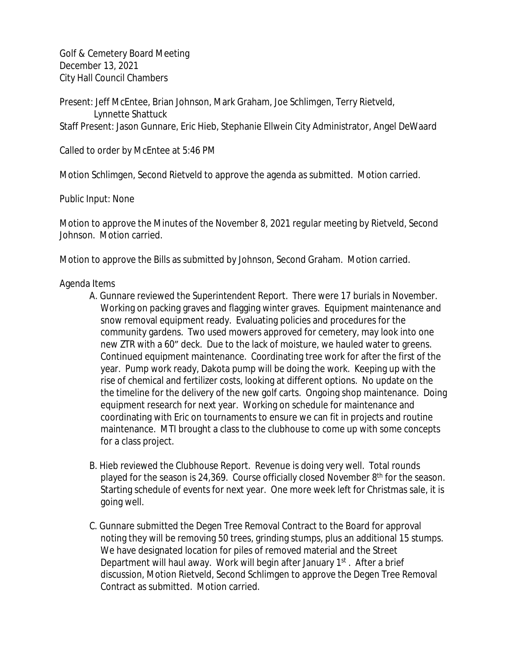Golf & Cemetery Board Meeting December 13, 2021 City Hall Council Chambers

Present: Jeff McEntee, Brian Johnson, Mark Graham, Joe Schlimgen, Terry Rietveld, Lynnette Shattuck Staff Present: Jason Gunnare, Eric Hieb, Stephanie Ellwein City Administrator, Angel DeWaard

Called to order by McEntee at 5:46 PM

Motion Schlimgen, Second Rietveld to approve the agenda as submitted. Motion carried.

Public Input: None

Motion to approve the Minutes of the November 8, 2021 regular meeting by Rietveld, Second Johnson. Motion carried.

Motion to approve the Bills as submitted by Johnson, Second Graham. Motion carried.

## Agenda Items

- A. Gunnare reviewed the Superintendent Report. There were 17 burials in November. Working on packing graves and flagging winter graves. Equipment maintenance and snow removal equipment ready. Evaluating policies and procedures for the community gardens. Two used mowers approved for cemetery, may look into one new ZTR with a 60" deck. Due to the lack of moisture, we hauled water to greens. Continued equipment maintenance. Coordinating tree work for after the first of the year. Pump work ready, Dakota pump will be doing the work. Keeping up with the rise of chemical and fertilizer costs, looking at different options. No update on the the timeline for the delivery of the new golf carts. Ongoing shop maintenance. Doing equipment research for next year. Working on schedule for maintenance and coordinating with Eric on tournaments to ensure we can fit in projects and routine maintenance. MTI brought a class to the clubhouse to come up with some concepts for a class project.
- B. Hieb reviewed the Clubhouse Report. Revenue is doing very well. Total rounds played for the season is 24,369. Course officially closed November 8<sup>th</sup> for the season. Starting schedule of events for next year. One more week left for Christmas sale, it is going well.
- C. Gunnare submitted the Degen Tree Removal Contract to the Board for approval noting they will be removing 50 trees, grinding stumps, plus an additional 15 stumps. We have designated location for piles of removed material and the Street Department will haul away. Work will begin after January 1<sup>st</sup>. After a brief discussion, Motion Rietveld, Second Schlimgen to approve the Degen Tree Removal Contract as submitted. Motion carried.